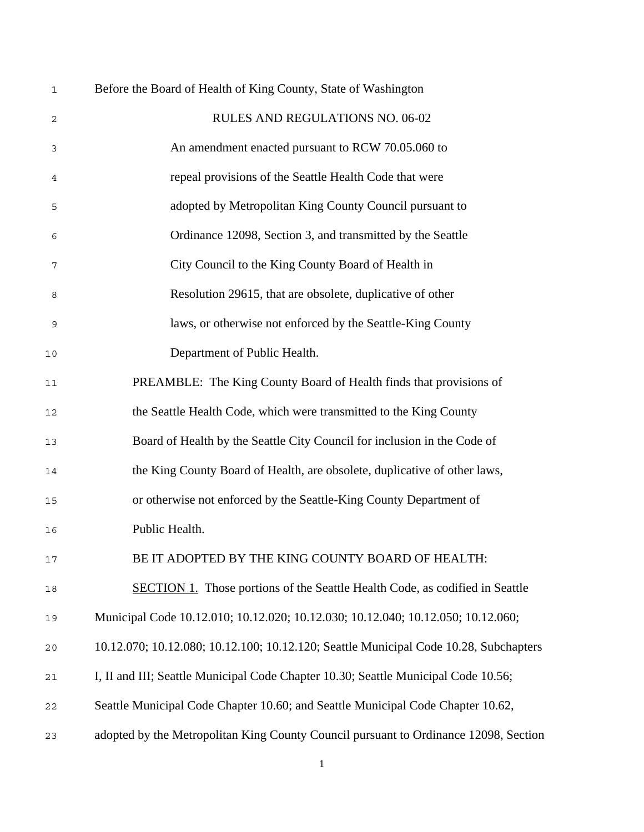| $\mathbf 1$ | Before the Board of Health of King County, State of Washington                        |  |  |
|-------------|---------------------------------------------------------------------------------------|--|--|
| 2           | RULES AND REGULATIONS NO. 06-02                                                       |  |  |
| 3           | An amendment enacted pursuant to RCW 70.05.060 to                                     |  |  |
| 4           | repeal provisions of the Seattle Health Code that were                                |  |  |
| 5           | adopted by Metropolitan King County Council pursuant to                               |  |  |
| 6           | Ordinance 12098, Section 3, and transmitted by the Seattle                            |  |  |
| 7           | City Council to the King County Board of Health in                                    |  |  |
| 8           | Resolution 29615, that are obsolete, duplicative of other                             |  |  |
| 9           | laws, or otherwise not enforced by the Seattle-King County                            |  |  |
| 10          | Department of Public Health.                                                          |  |  |
| 11          | PREAMBLE: The King County Board of Health finds that provisions of                    |  |  |
| 12          | the Seattle Health Code, which were transmitted to the King County                    |  |  |
| 13          | Board of Health by the Seattle City Council for inclusion in the Code of              |  |  |
| 14          | the King County Board of Health, are obsolete, duplicative of other laws,             |  |  |
| 15          | or otherwise not enforced by the Seattle-King County Department of                    |  |  |
| 16          | Public Health.                                                                        |  |  |
| $17$        | BE IT ADOPTED BY THE KING COUNTY BOARD OF HEALTH:                                     |  |  |
| $18\,$      | <b>SECTION 1.</b> Those portions of the Seattle Health Code, as codified in Seattle   |  |  |
| 19          | Municipal Code 10.12.010; 10.12.020; 10.12.030; 10.12.040; 10.12.050; 10.12.060;      |  |  |
| 20          | 10.12.070; 10.12.080; 10.12.100; 10.12.120; Seattle Municipal Code 10.28, Subchapters |  |  |
| $2\,1$      | I, II and III; Seattle Municipal Code Chapter 10.30; Seattle Municipal Code 10.56;    |  |  |
| 22          | Seattle Municipal Code Chapter 10.60; and Seattle Municipal Code Chapter 10.62,       |  |  |
| 23          | adopted by the Metropolitan King County Council pursuant to Ordinance 12098, Section  |  |  |